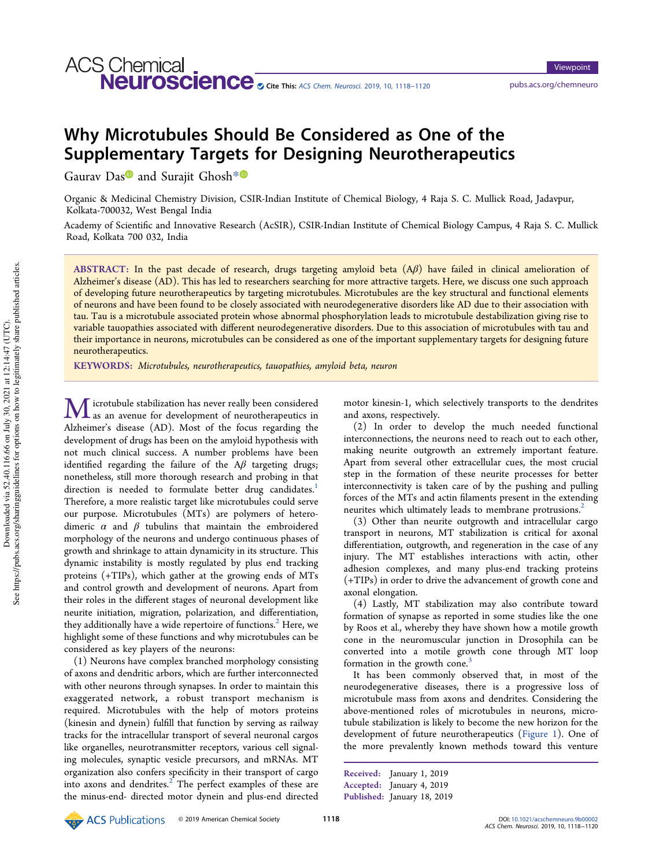Viewpoint

# Why Microtubules Should Be Considered as One of the Supplementary Targets for Designing Neurotherapeutics

Gaurav Das<sup>®</sup> and Surajit Ghosh<sup>\*®</sup>

Organic & Medicinal Chemistry Division, CSIR-Indian Institute of Chemical Biology, 4 Raja S. C. Mullick Road, Jadavpur, Kolkata-700032, West Bengal India

Academy of Scientific and Innovative Research (AcSIR), CSIR-Indian Institute of Chemical Biology Campus, 4 Raja S. C. Mullick Road, Kolkata 700 032, India

ABSTRACT: In the past decade of research, drugs targeting amyloid beta (Aβ) have failed in clinical amelioration of Alzheimer's disease (AD). This has led to researchers searching for more attractive targets. Here, we discuss one such approach of developing future neurotherapeutics by targeting microtubules. Microtubules are the key structural and functional elements of neurons and have been found to be closely associated with neurodegenerative disorders like AD due to their association with tau. Tau is a microtubule associated protein whose abnormal phosphorylation leads to microtubule destabilization giving rise to variable tauopathies associated with different neurodegenerative disorders. Due to this association of microtubules with tau and their importance in neurons, microtubules can be considered as one of the important supplementary targets for designing future neurotherapeutics.

KEYWORDS: Microtubules, neurotherapeutics, tauopathies, amyloid beta, neuron

Microtubule stabilization has never really been considered<br>as an avenue for development of neurotherapeutics in Alzheimer's disease (AD). Most of the focus regarding the development of drugs has been on the amyloid hypothesis with not much clinical success. A number problems have been identified regarding the failure of the  $A\beta$  targeting drugs; nonetheless, still more thorough research and probing in that direction is needed to formulate better drug candidates.<sup>1</sup> Therefore, a more realistic target like microtubules could serve our purpose. Microtubules (MTs) are polymers of heterodimeric  $\alpha$  and  $\beta$  tubulins that maintain the embroidered morphology of the neurons and undergo continuous phases of growth and shrinkage to attain dynamicity in its structure. This dynamic instability is mostly regulated by plus end tracking proteins (+TIPs), which gather at the growing ends of MTs and control growth and development of neurons. Apart from their roles in the different stages of neuronal development like neurite initiation, migration, polarization, and differentiation, they additionally have a wide repertoire of functions. $2$  Here, we highlight some of these functions and why microtubules can be considered as key players of the neurons:

(1) Neurons have complex branched morphology consisting of axons and dendritic arbors, which are further interconnected with other neurons through synapses. In order to maintain this exaggerated network, a robust transport mechanism is required. Microtubules with the help of motors proteins (kinesin and dynein) fulfill that function by serving as railway tracks for the intracellular transport of several neuronal cargos like organelles, neurotransmitter receptors, various cell signaling molecules, synaptic vesicle precursors, and mRNAs. MT organization also confers specificity in their transport of cargo into axons and dendrites. $^{2}$  The perfect examples of these are the minus-end- directed motor dynein and plus-end directed motor kinesin-1, which selectively transports to the dendrites and axons, respectively.

(2) In order to develop the much needed functional interconnections, the neurons need to reach out to each other, making neurite outgrowth an extremely important feature. Apart from several other extracellular cues, the most crucial step in the formation of these neurite processes for better interconnectivity is taken care of by the pushing and pulling forces of the MTs and actin filaments present in the extending neurites which ultimately leads to membrane protrusions.<sup>2</sup>

(3) Other than neurite outgrowth and intracellular cargo transport in neurons, MT stabilization is critical for axonal differentiation, outgrowth, and regeneration in the case of any injury. The MT establishes interactions with actin, other adhesion complexes, and many plus-end tracking proteins (+TIPs) in order to drive the advancement of growth cone and axonal elongation.

(4) Lastly, MT stabilization may also contribute toward formation of synapse as reported in some studies like the one by Roos et al., whereby they have shown how a motile growth cone in the neuromuscular junction in Drosophila can be converted into a motile growth cone through MT loop formation in the growth cone. $3$ 

It has been commonly observed that, in most of the neurodegenerative diseases, there is a progressive loss of microtubule mass from axons and dendrites. Considering the above-mentioned roles of microtubules in neurons, microtubule stabilization is likely to become the new horizon for the development of future neurotherapeutics (Figure 1). One of the more prevalently known methods toward this venture

Received: January 1, 2019 Accepted: January 4, 2019 Published: January 18, 2019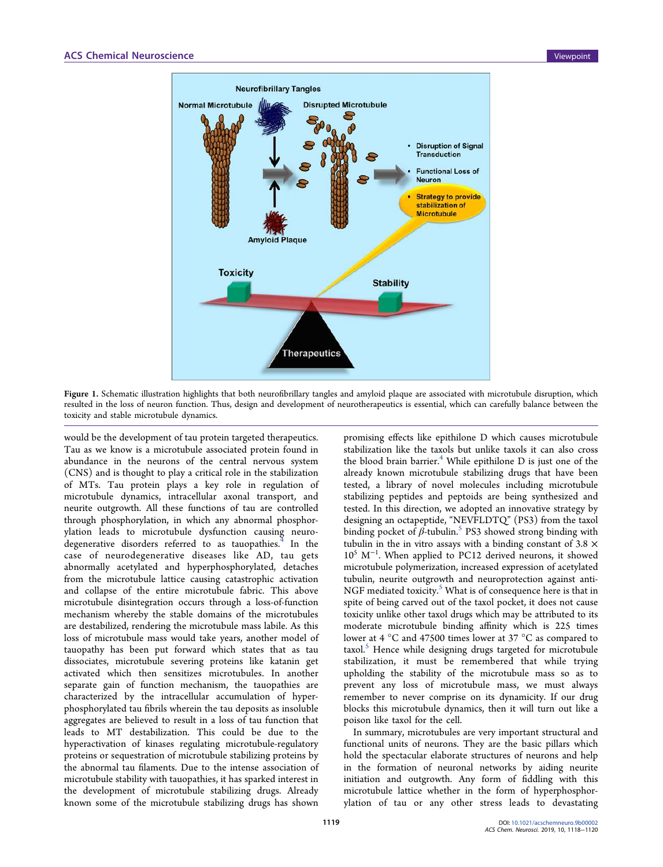

Figure 1. Schematic illustration highlights that both neurofibrillary tangles and amyloid plaque are associated with microtubule disruption, which resulted in the loss of neuron function. Thus, design and development of neurotherapeutics is essential, which can carefully balance between the toxicity and stable microtubule dynamics.

would be the development of tau protein targeted therapeutics. Tau as we know is a microtubule associated protein found in abundance in the neurons of the central nervous system (CNS) and is thought to play a critical role in the stabilization of MTs. Tau protein plays a key role in regulation of microtubule dynamics, intracellular axonal transport, and neurite outgrowth. All these functions of tau are controlled through phosphorylation, in which any abnormal phosphorylation leads to microtubule dysfunction causing neurodegenerative disorders referred to as tauopathies. $^{\frac{3}{4}}$  In the case of neurodegenerative diseases like AD, tau gets abnormally acetylated and hyperphosphorylated, detaches from the microtubule lattice causing catastrophic activation and collapse of the entire microtubule fabric. This above microtubule disintegration occurs through a loss-of-function mechanism whereby the stable domains of the microtubules are destabilized, rendering the microtubule mass labile. As this loss of microtubule mass would take years, another model of tauopathy has been put forward which states that as tau dissociates, microtubule severing proteins like katanin get activated which then sensitizes microtubules. In another separate gain of function mechanism, the tauopathies are characterized by the intracellular accumulation of hyperphosphorylated tau fibrils wherein the tau deposits as insoluble aggregates are believed to result in a loss of tau function that leads to MT destabilization. This could be due to the hyperactivation of kinases regulating microtubule-regulatory proteins or sequestration of microtubule stabilizing proteins by the abnormal tau filaments. Due to the intense association of microtubule stability with tauopathies, it has sparked interest in the development of microtubule stabilizing drugs. Already known some of the microtubule stabilizing drugs has shown

promising effects like epithilone D which causes microtubule stabilization like the taxols but unlike taxols it can also cross the blood brain barrier. $4$  While epithilone D is just one of the already known microtubule stabilizing drugs that have been tested, a library of novel molecules including microtubule stabilizing peptides and peptoids are being synthesized and tested. In this direction, we adopted an innovative strategy by designing an octapeptide, "NEVFLDTQ" (PS3) from the taxol binding pocket of  $\beta$ -tubulin.<sup>5</sup> PS3 showed strong binding with tubulin in the in vitro assays with a binding constant of 3.8  $\times$ 10<sup>5</sup> M<sup>−</sup><sup>1</sup> . When applied to PC12 derived neurons, it showed microtubule polymerization, increased expression of acetylated tubulin, neurite outgrowth and neuroprotection against anti-NGF mediated toxicity.<sup>5</sup> What is of consequence here is that in spite of being carved out of the taxol pocket, it does not cause toxicity unlike other taxol drugs which may be attributed to its moderate microtubule binding affinity which is 225 times lower at 4 °C and 47500 times lower at 37 °C as compared to taxol.<sup>5</sup> Hence while designing drugs targeted for microtubule stabilization, it must be remembered that while trying upholding the stability of the microtubule mass so as to prevent any loss of microtubule mass, we must always remember to never comprise on its dynamicity. If our drug blocks this microtubule dynamics, then it will turn out like a poison like taxol for the cell.

In summary, microtubules are very important structural and functional units of neurons. They are the basic pillars which hold the spectacular elaborate structures of neurons and help in the formation of neuronal networks by aiding neurite initiation and outgrowth. Any form of fiddling with this microtubule lattice whether in the form of hyperphosphorylation of tau or any other stress leads to devastating